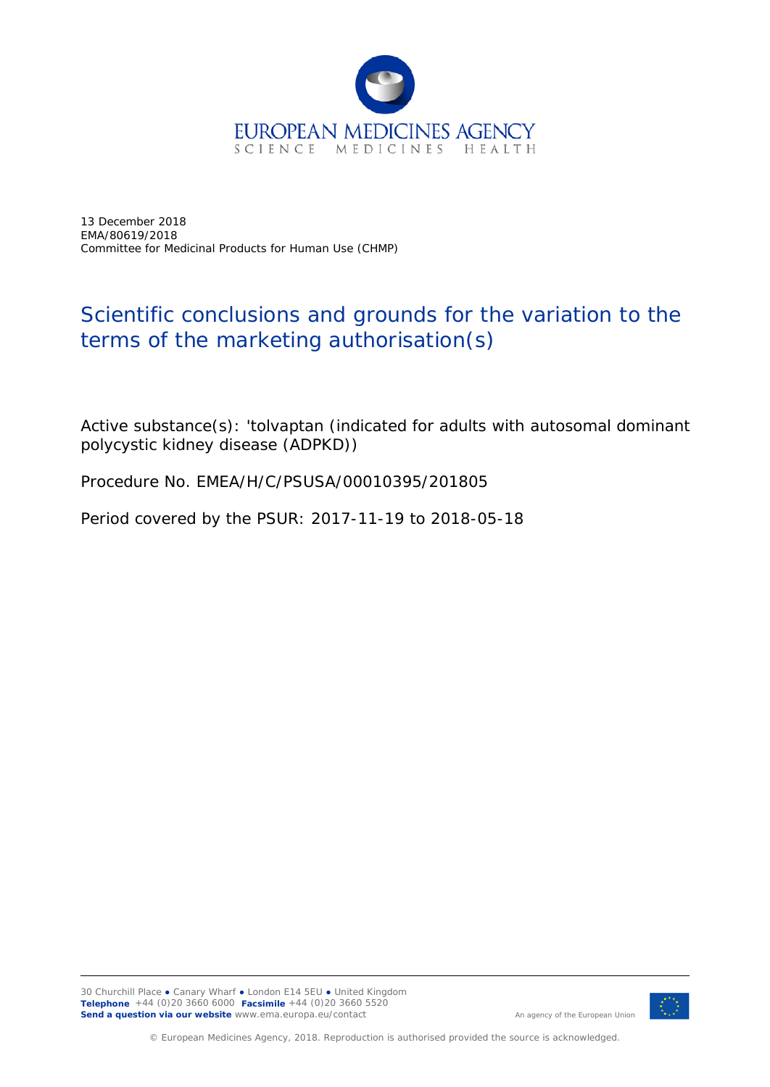

13 December 2018 EMA/80619/2018 Committee for Medicinal Products for Human Use (CHMP)

## Scientific conclusions and grounds for the variation to the terms of the marketing authorisation(s)

Active substance(s): 'tolvaptan (indicated for adults with autosomal dominant polycystic kidney disease (ADPKD))

Procedure No. EMEA/H/C/PSUSA/00010395/201805

Period covered by the PSUR: 2017-11-19 to 2018-05-18



An agency of the European Union